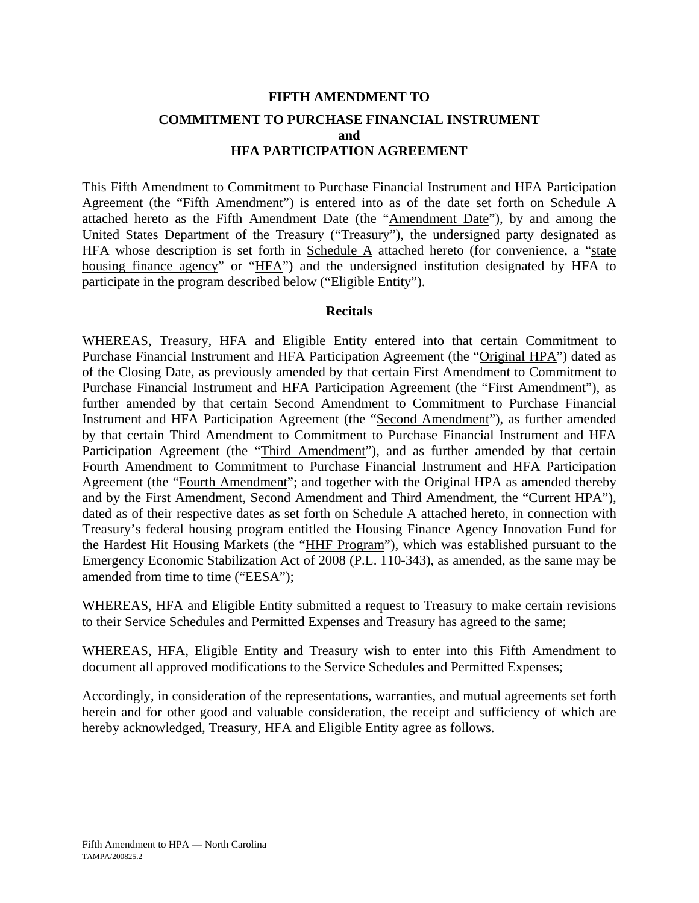# **FIFTH AMENDMENT TO COMMITMENT TO PURCHASE FINANCIAL INSTRUMENT and HFA PARTICIPATION AGREEMENT**

This Fifth Amendment to Commitment to Purchase Financial Instrument and HFA Participation Agreement (the "Fifth Amendment") is entered into as of the date set forth on Schedule A attached hereto as the Fifth Amendment Date (the "Amendment Date"), by and among the United States Department of the Treasury ("Treasury"), the undersigned party designated as HFA whose description is set forth in Schedule  $\overline{A}$  attached hereto (for convenience, a "state housing finance agency" or "HFA") and the undersigned institution designated by HFA to participate in the program described below ("Eligible Entity").

### **Recitals**

WHEREAS, Treasury, HFA and Eligible Entity entered into that certain Commitment to Purchase Financial Instrument and HFA Participation Agreement (the "Original HPA") dated as of the Closing Date, as previously amended by that certain First Amendment to Commitment to Purchase Financial Instrument and HFA Participation Agreement (the "First Amendment"), as further amended by that certain Second Amendment to Commitment to Purchase Financial Instrument and HFA Participation Agreement (the "Second Amendment"), as further amended by that certain Third Amendment to Commitment to Purchase Financial Instrument and HFA Participation Agreement (the "Third Amendment"), and as further amended by that certain Fourth Amendment to Commitment to Purchase Financial Instrument and HFA Participation Agreement (the "Fourth Amendment"; and together with the Original HPA as amended thereby and by the First Amendment, Second Amendment and Third Amendment, the "Current HPA"), dated as of their respective dates as set forth on Schedule A attached hereto, in connection with Treasury's federal housing program entitled the Housing Finance Agency Innovation Fund for the Hardest Hit Housing Markets (the "HHF Program"), which was established pursuant to the Emergency Economic Stabilization Act of 2008 (P.L. 110-343), as amended, as the same may be amended from time to time ("EESA");

WHEREAS, HFA and Eligible Entity submitted a request to Treasury to make certain revisions to their Service Schedules and Permitted Expenses and Treasury has agreed to the same;

WHEREAS, HFA, Eligible Entity and Treasury wish to enter into this Fifth Amendment to document all approved modifications to the Service Schedules and Permitted Expenses;

Accordingly, in consideration of the representations, warranties, and mutual agreements set forth herein and for other good and valuable consideration, the receipt and sufficiency of which are hereby acknowledged, Treasury, HFA and Eligible Entity agree as follows.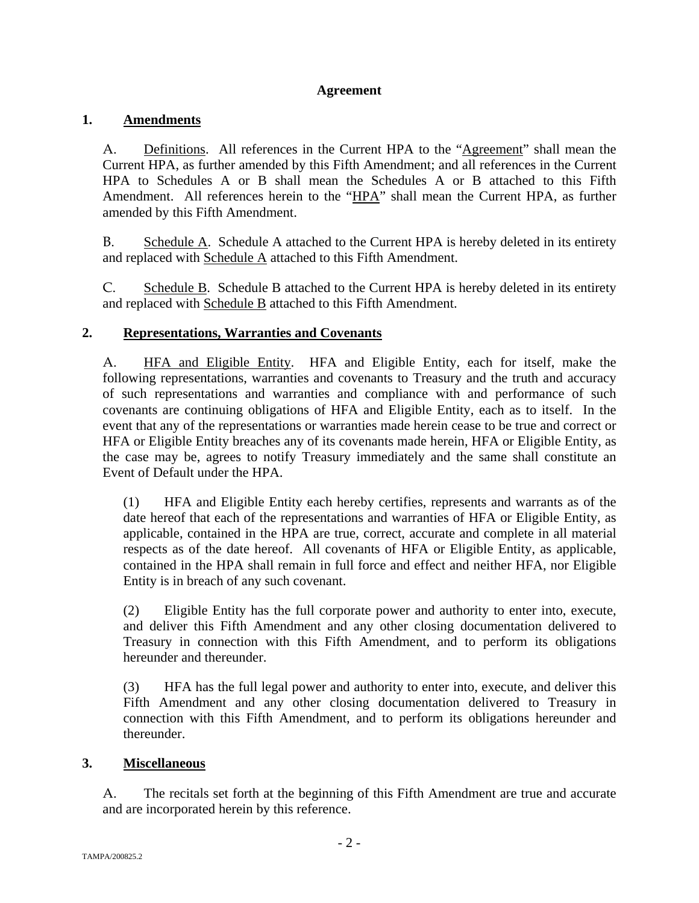# **Agreement**

# **1. Amendments**

A. Definitions. All references in the Current HPA to the "Agreement" shall mean the Current HPA, as further amended by this Fifth Amendment; and all references in the Current HPA to Schedules A or B shall mean the Schedules A or B attached to this Fifth Amendment. All references herein to the "HPA" shall mean the Current HPA, as further amended by this Fifth Amendment.

B. Schedule A. Schedule A attached to the Current HPA is hereby deleted in its entirety and replaced with Schedule A attached to this Fifth Amendment.

C. Schedule B. Schedule B attached to the Current HPA is hereby deleted in its entirety and replaced with Schedule B attached to this Fifth Amendment.

# **2. Representations, Warranties and Covenants**

A. HFA and Eligible Entity. HFA and Eligible Entity, each for itself, make the following representations, warranties and covenants to Treasury and the truth and accuracy of such representations and warranties and compliance with and performance of such covenants are continuing obligations of HFA and Eligible Entity, each as to itself. In the event that any of the representations or warranties made herein cease to be true and correct or HFA or Eligible Entity breaches any of its covenants made herein, HFA or Eligible Entity, as the case may be, agrees to notify Treasury immediately and the same shall constitute an Event of Default under the HPA.

(1) HFA and Eligible Entity each hereby certifies, represents and warrants as of the date hereof that each of the representations and warranties of HFA or Eligible Entity, as applicable, contained in the HPA are true, correct, accurate and complete in all material respects as of the date hereof. All covenants of HFA or Eligible Entity, as applicable, contained in the HPA shall remain in full force and effect and neither HFA, nor Eligible Entity is in breach of any such covenant.

(2) Eligible Entity has the full corporate power and authority to enter into, execute, and deliver this Fifth Amendment and any other closing documentation delivered to Treasury in connection with this Fifth Amendment, and to perform its obligations hereunder and thereunder.

(3) HFA has the full legal power and authority to enter into, execute, and deliver this Fifth Amendment and any other closing documentation delivered to Treasury in connection with this Fifth Amendment, and to perform its obligations hereunder and thereunder.

# **3. Miscellaneous**

A. The recitals set forth at the beginning of this Fifth Amendment are true and accurate and are incorporated herein by this reference.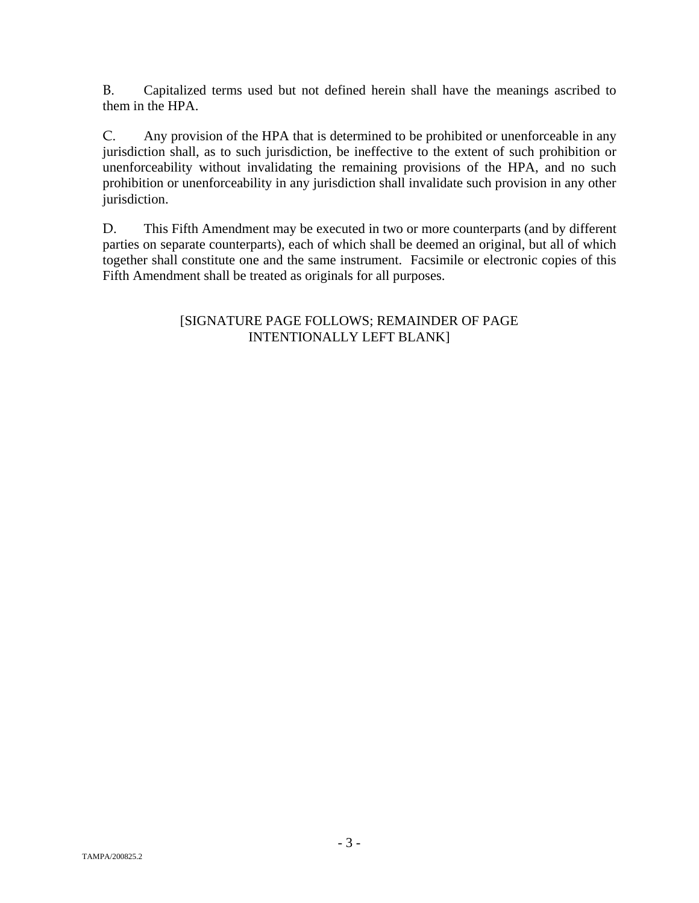B. Capitalized terms used but not defined herein shall have the meanings ascribed to them in the HPA.

C. Any provision of the HPA that is determined to be prohibited or unenforceable in any jurisdiction shall, as to such jurisdiction, be ineffective to the extent of such prohibition or unenforceability without invalidating the remaining provisions of the HPA, and no such prohibition or unenforceability in any jurisdiction shall invalidate such provision in any other jurisdiction.

D. This Fifth Amendment may be executed in two or more counterparts (and by different parties on separate counterparts), each of which shall be deemed an original, but all of which together shall constitute one and the same instrument. Facsimile or electronic copies of this Fifth Amendment shall be treated as originals for all purposes.

# [SIGNATURE PAGE FOLLOWS; REMAINDER OF PAGE INTENTIONALLY LEFT BLANK]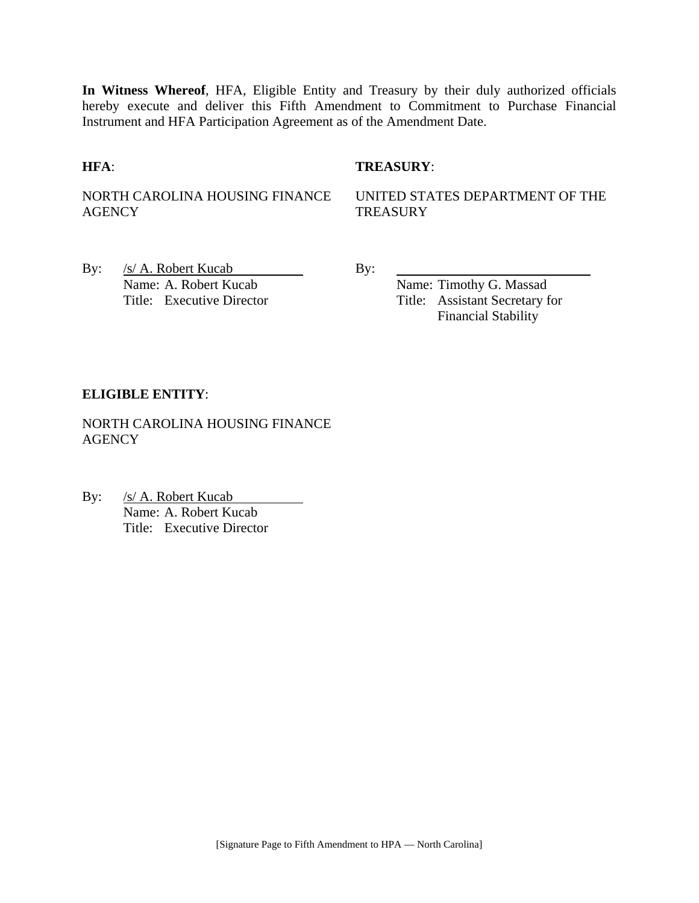**In Witness Whereof**, HFA, Eligible Entity and Treasury by their duly authorized officials hereby execute and deliver this Fifth Amendment to Commitment to Purchase Financial Instrument and HFA Participation Agreement as of the Amendment Date.

### **HFA**: **TREASURY**:

NORTH CAROLINA HOUSING FINANCE **AGENCY** 

UNITED STATES DEPARTMENT OF THE **TREASURY** 

By:  $/s/A$ . Robert Kucab By: Name: A. Robert Kucab Name: Timothy G. Massad

Title: Executive Director Title: Assistant Secretary for Financial Stability

### **ELIGIBLE ENTITY**:

NORTH CAROLINA HOUSING FINANCE **AGENCY** 

By: /s/ A. Robert Kucab Name: A. Robert Kucab Title: Executive Director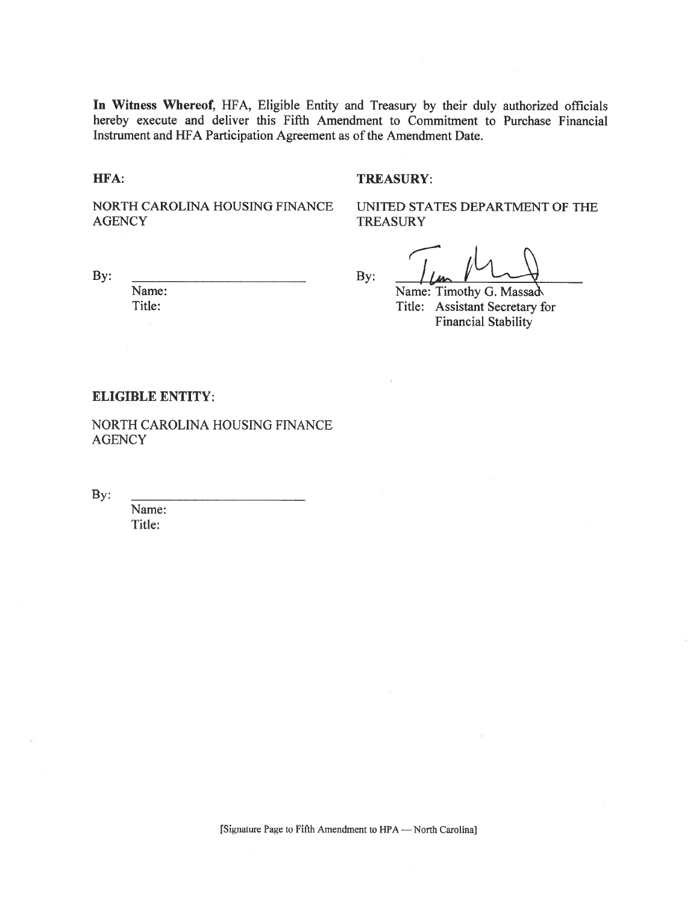In Witness Whereof, HFA, Eligible Entity and Treasury by their duly authorized officials hereby execute and deliver this Fifth Amendment to Commitment to Purchase Financial Instrument and HFA Participation Agreement as of the Amendment Date.

HFA:

#### **TREASURY:**

NORTH CAROLINA HOUSING FINANCE **AGENCY** 

UNITED STATES DEPARTMENT OF THE **TREASURY** 

By:

Name: Title:

By:

Name: Timothy G. Massad Title: Assistant Secretary for **Financial Stability** 

#### **ELIGIBLE ENTITY:**

NORTH CAROLINA HOUSING FINANCE **AGENCY** 

By:

Name: Title: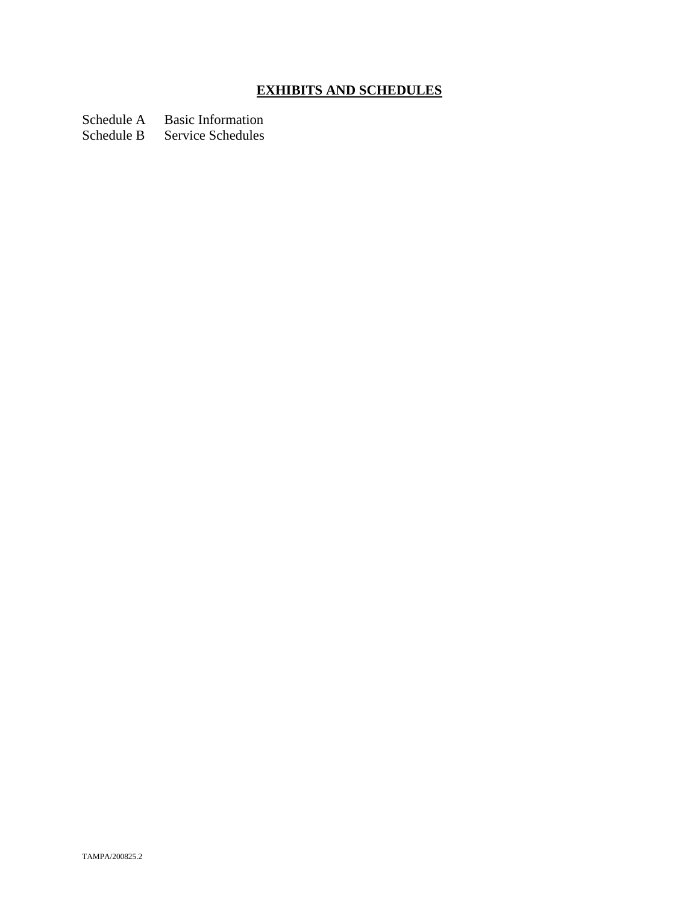# **EXHIBITS AND SCHEDULES**

Schedule A Basic Information<br>Schedule B Service Schedules

Service Schedules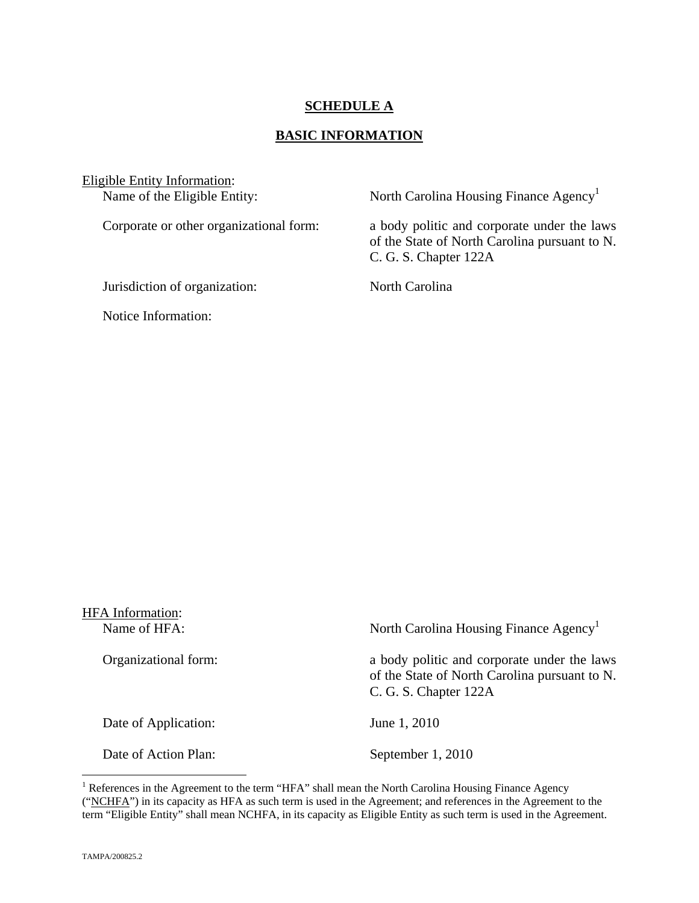## **SCHEDULE A**

### **BASIC INFORMATION**

Eligible Entity Information:<br>Name of the Eligible Entity:

Jurisdiction of organization: North Carolina

Notice Information:

North Carolina Housing Finance Agency<sup>1</sup>

Corporate or other organizational form: a body politic and corporate under the laws of the State of North Carolina pursuant to N. C. G. S. Chapter 122A

| <b>HFA</b> Information:<br>Name of HFA: | North Carolina Housing Finance Agency <sup>1</sup>                                                                    |
|-----------------------------------------|-----------------------------------------------------------------------------------------------------------------------|
| Organizational form:                    | a body politic and corporate under the laws<br>of the State of North Carolina pursuant to N.<br>C. G. S. Chapter 122A |
| Date of Application:                    | June 1, 2010                                                                                                          |
| Date of Action Plan:                    | September 1, 2010                                                                                                     |

<sup>&</sup>lt;sup>1</sup> References in the Agreement to the term "HFA" shall mean the North Carolina Housing Finance Agency ("NCHFA") in its capacity as HFA as such term is used in the Agreement; and references in the Agreement to the term "Eligible Entity" shall mean NCHFA, in its capacity as Eligible Entity as such term is used in the Agreement.

1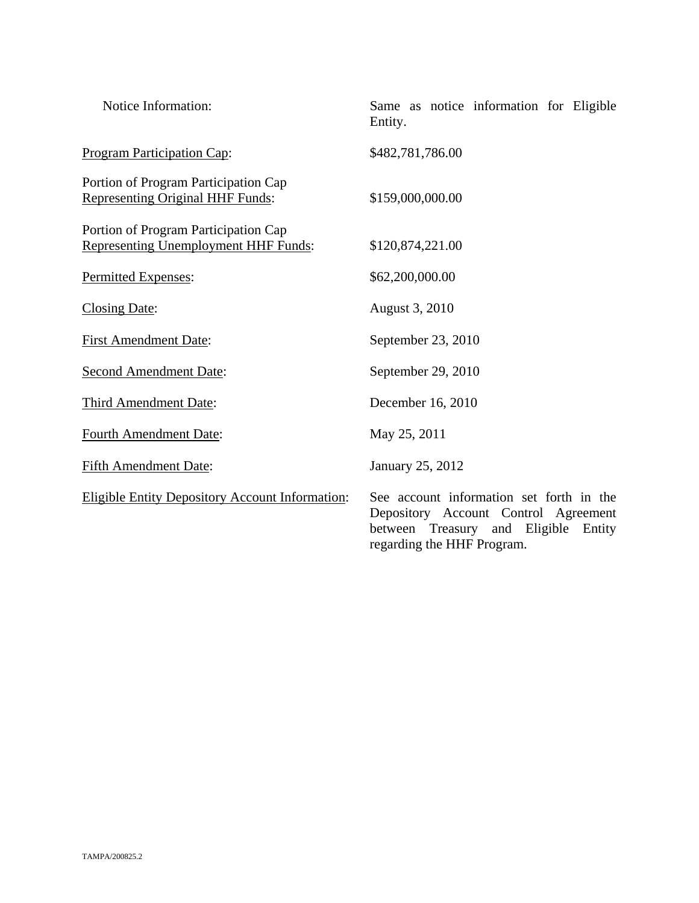| Notice Information:                                                             | Same as notice information for Eligible<br>Entity.                                                                                                        |
|---------------------------------------------------------------------------------|-----------------------------------------------------------------------------------------------------------------------------------------------------------|
| <b>Program Participation Cap:</b>                                               | \$482,781,786.00                                                                                                                                          |
| Portion of Program Participation Cap<br><b>Representing Original HHF Funds:</b> | \$159,000,000.00                                                                                                                                          |
| Portion of Program Participation Cap<br>Representing Unemployment HHF Funds:    | \$120,874,221.00                                                                                                                                          |
| Permitted Expenses:                                                             | \$62,200,000.00                                                                                                                                           |
| <b>Closing Date:</b>                                                            | August 3, 2010                                                                                                                                            |
| <b>First Amendment Date:</b>                                                    | September 23, 2010                                                                                                                                        |
| <b>Second Amendment Date:</b>                                                   | September 29, 2010                                                                                                                                        |
| Third Amendment Date:                                                           | December 16, 2010                                                                                                                                         |
| <b>Fourth Amendment Date:</b>                                                   | May 25, 2011                                                                                                                                              |
| <b>Fifth Amendment Date:</b>                                                    | January 25, 2012                                                                                                                                          |
| <b>Eligible Entity Depository Account Information:</b>                          | See account information set forth in the<br>Depository Account Control Agreement<br>between Treasury and Eligible<br>Entity<br>regarding the HHF Program. |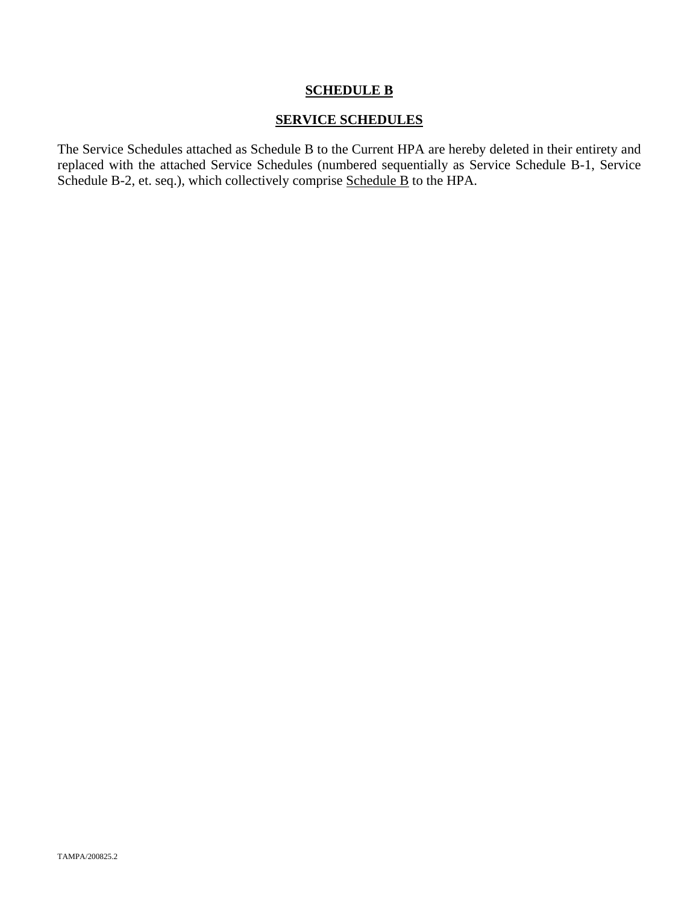# **SCHEDULE B**

### **SERVICE SCHEDULES**

The Service Schedules attached as Schedule B to the Current HPA are hereby deleted in their entirety and replaced with the attached Service Schedules (numbered sequentially as Service Schedule B-1, Service Schedule B-2, et. seq.), which collectively comprise Schedule B to the HPA.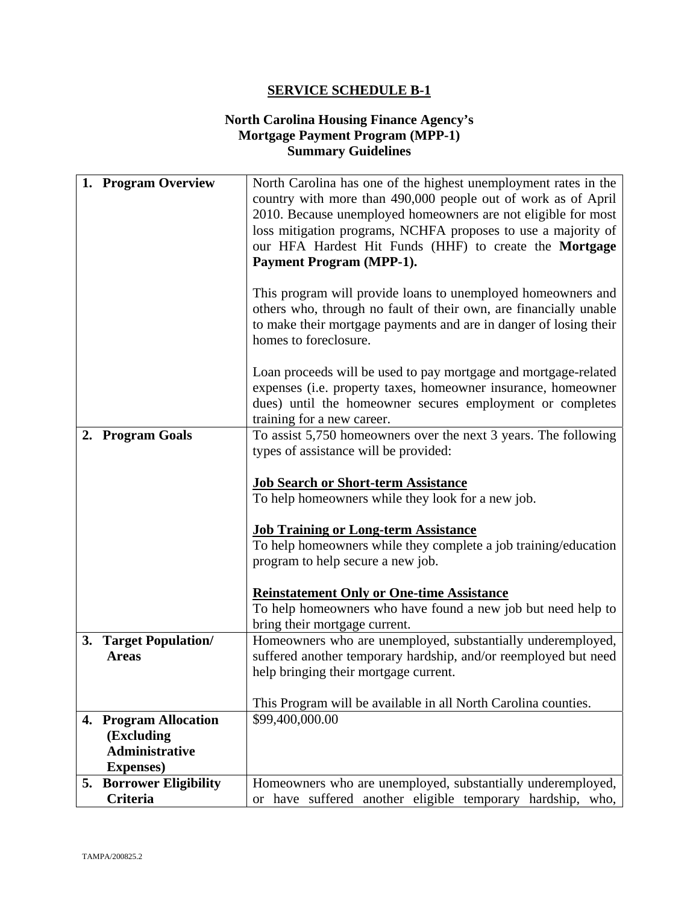### **North Carolina Housing Finance Agency's Mortgage Payment Program (MPP-1) Summary Guidelines**

| 1. Program Overview            | North Carolina has one of the highest unemployment rates in the                                                                |
|--------------------------------|--------------------------------------------------------------------------------------------------------------------------------|
|                                | country with more than 490,000 people out of work as of April                                                                  |
|                                | 2010. Because unemployed homeowners are not eligible for most<br>loss mitigation programs, NCHFA proposes to use a majority of |
|                                | our HFA Hardest Hit Funds (HHF) to create the Mortgage                                                                         |
|                                | <b>Payment Program (MPP-1).</b>                                                                                                |
|                                |                                                                                                                                |
|                                | This program will provide loans to unemployed homeowners and                                                                   |
|                                | others who, through no fault of their own, are financially unable                                                              |
|                                | to make their mortgage payments and are in danger of losing their                                                              |
|                                | homes to foreclosure.                                                                                                          |
|                                | Loan proceeds will be used to pay mortgage and mortgage-related                                                                |
|                                | expenses (i.e. property taxes, homeowner insurance, homeowner                                                                  |
|                                | dues) until the homeowner secures employment or completes                                                                      |
|                                | training for a new career.                                                                                                     |
| 2. Program Goals               | To assist 5,750 homeowners over the next 3 years. The following                                                                |
|                                | types of assistance will be provided:                                                                                          |
|                                | <b>Job Search or Short-term Assistance</b>                                                                                     |
|                                | To help homeowners while they look for a new job.                                                                              |
|                                |                                                                                                                                |
|                                | <b>Job Training or Long-term Assistance</b>                                                                                    |
|                                | To help homeowners while they complete a job training/education                                                                |
|                                | program to help secure a new job.                                                                                              |
|                                | <b>Reinstatement Only or One-time Assistance</b>                                                                               |
|                                | To help homeowners who have found a new job but need help to                                                                   |
|                                | bring their mortgage current.                                                                                                  |
| 3. Target Population/          | Homeowners who are unemployed, substantially underemployed,                                                                    |
| <b>Areas</b>                   | suffered another temporary hardship, and/or reemployed but need                                                                |
|                                | help bringing their mortgage current.                                                                                          |
|                                |                                                                                                                                |
| 4. Program Allocation          | This Program will be available in all North Carolina counties.<br>\$99,400,000.00                                              |
| (Excluding                     |                                                                                                                                |
| <b>Administrative</b>          |                                                                                                                                |
| <b>Expenses</b> )              |                                                                                                                                |
| <b>5. Borrower Eligibility</b> | Homeowners who are unemployed, substantially underemployed,                                                                    |
| Criteria                       | or have suffered another eligible temporary hardship, who,                                                                     |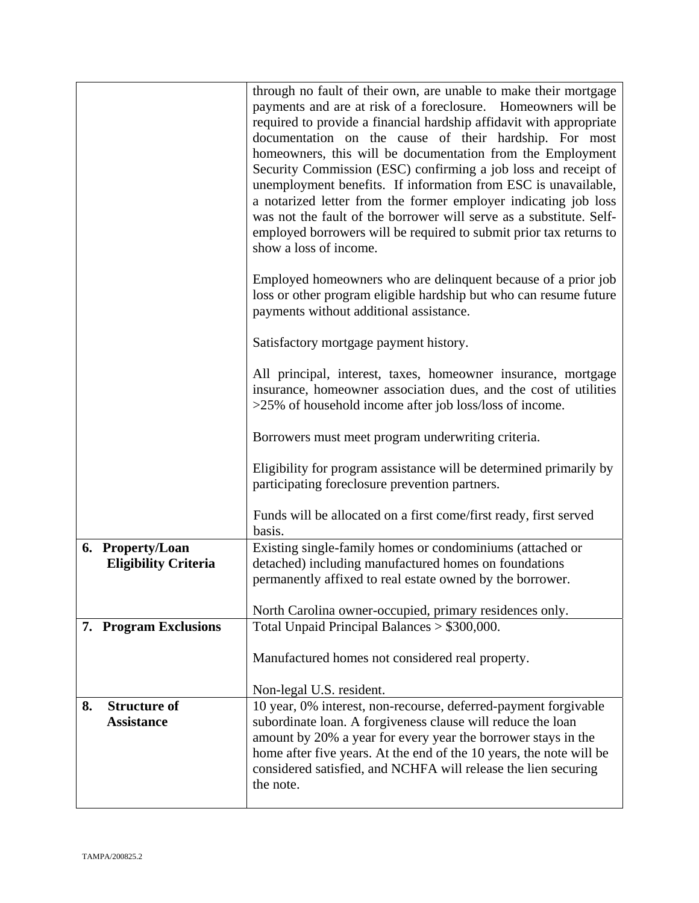|    |                             | through no fault of their own, are unable to make their mortgage<br>payments and are at risk of a foreclosure. Homeowners will be<br>required to provide a financial hardship affidavit with appropriate<br>documentation on the cause of their hardship. For most<br>homeowners, this will be documentation from the Employment<br>Security Commission (ESC) confirming a job loss and receipt of<br>unemployment benefits. If information from ESC is unavailable,<br>a notarized letter from the former employer indicating job loss<br>was not the fault of the borrower will serve as a substitute. Self-<br>employed borrowers will be required to submit prior tax returns to<br>show a loss of income. |
|----|-----------------------------|----------------------------------------------------------------------------------------------------------------------------------------------------------------------------------------------------------------------------------------------------------------------------------------------------------------------------------------------------------------------------------------------------------------------------------------------------------------------------------------------------------------------------------------------------------------------------------------------------------------------------------------------------------------------------------------------------------------|
|    |                             | Employed homeowners who are delinquent because of a prior job<br>loss or other program eligible hardship but who can resume future<br>payments without additional assistance.                                                                                                                                                                                                                                                                                                                                                                                                                                                                                                                                  |
|    |                             | Satisfactory mortgage payment history.                                                                                                                                                                                                                                                                                                                                                                                                                                                                                                                                                                                                                                                                         |
|    |                             | All principal, interest, taxes, homeowner insurance, mortgage<br>insurance, homeowner association dues, and the cost of utilities<br>>25% of household income after job loss/loss of income.                                                                                                                                                                                                                                                                                                                                                                                                                                                                                                                   |
|    |                             | Borrowers must meet program underwriting criteria.                                                                                                                                                                                                                                                                                                                                                                                                                                                                                                                                                                                                                                                             |
|    |                             | Eligibility for program assistance will be determined primarily by<br>participating foreclosure prevention partners.                                                                                                                                                                                                                                                                                                                                                                                                                                                                                                                                                                                           |
|    |                             | Funds will be allocated on a first come/first ready, first served<br>basis.                                                                                                                                                                                                                                                                                                                                                                                                                                                                                                                                                                                                                                    |
|    | 6. Property/Loan            | Existing single-family homes or condominiums (attached or                                                                                                                                                                                                                                                                                                                                                                                                                                                                                                                                                                                                                                                      |
|    | <b>Eligibility Criteria</b> | detached) including manufactured homes on foundations                                                                                                                                                                                                                                                                                                                                                                                                                                                                                                                                                                                                                                                          |
|    |                             | permanently affixed to real estate owned by the borrower.                                                                                                                                                                                                                                                                                                                                                                                                                                                                                                                                                                                                                                                      |
|    |                             | North Carolina owner-occupied, primary residences only.                                                                                                                                                                                                                                                                                                                                                                                                                                                                                                                                                                                                                                                        |
|    | 7. Program Exclusions       | Total Unpaid Principal Balances > \$300,000.                                                                                                                                                                                                                                                                                                                                                                                                                                                                                                                                                                                                                                                                   |
|    |                             | Manufactured homes not considered real property.                                                                                                                                                                                                                                                                                                                                                                                                                                                                                                                                                                                                                                                               |
|    | <b>Structure of</b>         | Non-legal U.S. resident.                                                                                                                                                                                                                                                                                                                                                                                                                                                                                                                                                                                                                                                                                       |
| 8. | <b>Assistance</b>           | 10 year, 0% interest, non-recourse, deferred-payment forgivable<br>subordinate loan. A forgiveness clause will reduce the loan<br>amount by 20% a year for every year the borrower stays in the<br>home after five years. At the end of the 10 years, the note will be<br>considered satisfied, and NCHFA will release the lien securing<br>the note.                                                                                                                                                                                                                                                                                                                                                          |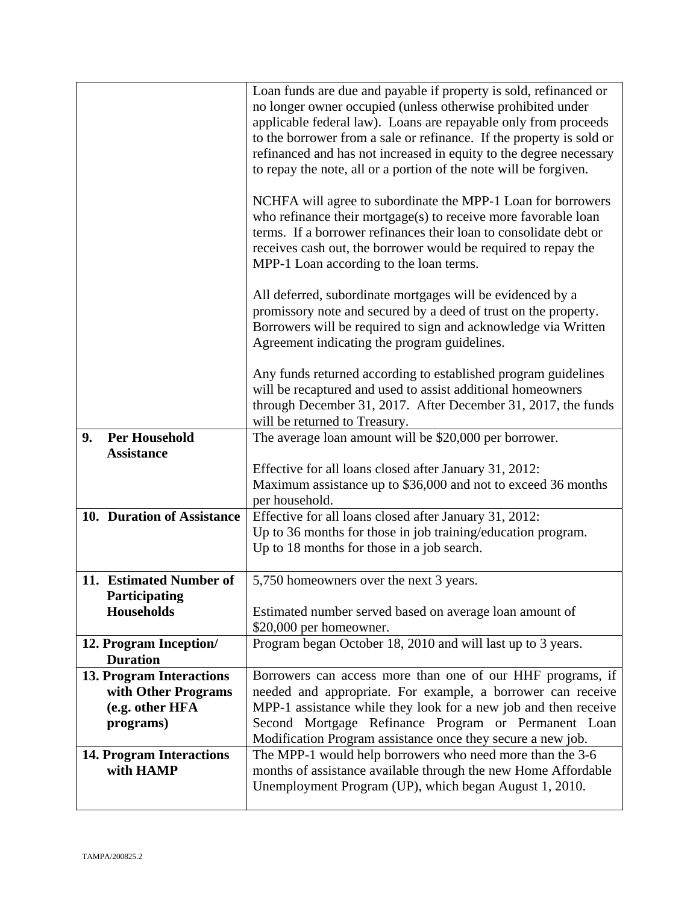|                                 | Loan funds are due and payable if property is sold, refinanced or    |
|---------------------------------|----------------------------------------------------------------------|
|                                 | no longer owner occupied (unless otherwise prohibited under          |
|                                 | applicable federal law). Loans are repayable only from proceeds      |
|                                 |                                                                      |
|                                 | to the borrower from a sale or refinance. If the property is sold or |
|                                 | refinanced and has not increased in equity to the degree necessary   |
|                                 | to repay the note, all or a portion of the note will be forgiven.    |
|                                 |                                                                      |
|                                 | NCHFA will agree to subordinate the MPP-1 Loan for borrowers         |
|                                 | who refinance their mortgage $(s)$ to receive more favorable loan    |
|                                 | terms. If a borrower refinances their loan to consolidate debt or    |
|                                 |                                                                      |
|                                 | receives cash out, the borrower would be required to repay the       |
|                                 | MPP-1 Loan according to the loan terms.                              |
|                                 |                                                                      |
|                                 | All deferred, subordinate mortgages will be evidenced by a           |
|                                 | promissory note and secured by a deed of trust on the property.      |
|                                 | Borrowers will be required to sign and acknowledge via Written       |
|                                 | Agreement indicating the program guidelines.                         |
|                                 |                                                                      |
|                                 | Any funds returned according to established program guidelines       |
|                                 | will be recaptured and used to assist additional homeowners          |
|                                 | through December 31, 2017. After December 31, 2017, the funds        |
|                                 | will be returned to Treasury.                                        |
| <b>Per Household</b><br>9.      | The average loan amount will be \$20,000 per borrower.               |
| <b>Assistance</b>               |                                                                      |
|                                 | Effective for all loans closed after January 31, 2012:               |
|                                 |                                                                      |
|                                 | Maximum assistance up to \$36,000 and not to exceed 36 months        |
|                                 | per household.                                                       |
| 10. Duration of Assistance      | Effective for all loans closed after January 31, 2012:               |
|                                 | Up to 36 months for those in job training/education program.         |
|                                 | Up to 18 months for those in a job search.                           |
|                                 |                                                                      |
| 11. Estimated Number of         | 5,750 homeowners over the next 3 years.                              |
| Participating                   |                                                                      |
| <b>Households</b>               | Estimated number served based on average loan amount of              |
|                                 | \$20,000 per homeowner.                                              |
| 12. Program Inception/          | Program began October 18, 2010 and will last up to 3 years.          |
| <b>Duration</b>                 |                                                                      |
| 13. Program Interactions        | Borrowers can access more than one of our HHF programs, if           |
| with Other Programs             | needed and appropriate. For example, a borrower can receive          |
| (e.g. other HFA                 | MPP-1 assistance while they look for a new job and then receive      |
| programs)                       | Second Mortgage Refinance Program or Permanent Loan                  |
|                                 |                                                                      |
|                                 | Modification Program assistance once they secure a new job.          |
| <b>14. Program Interactions</b> | The MPP-1 would help borrowers who need more than the 3-6            |
| with HAMP                       | months of assistance available through the new Home Affordable       |
|                                 | Unemployment Program (UP), which began August 1, 2010.               |
|                                 |                                                                      |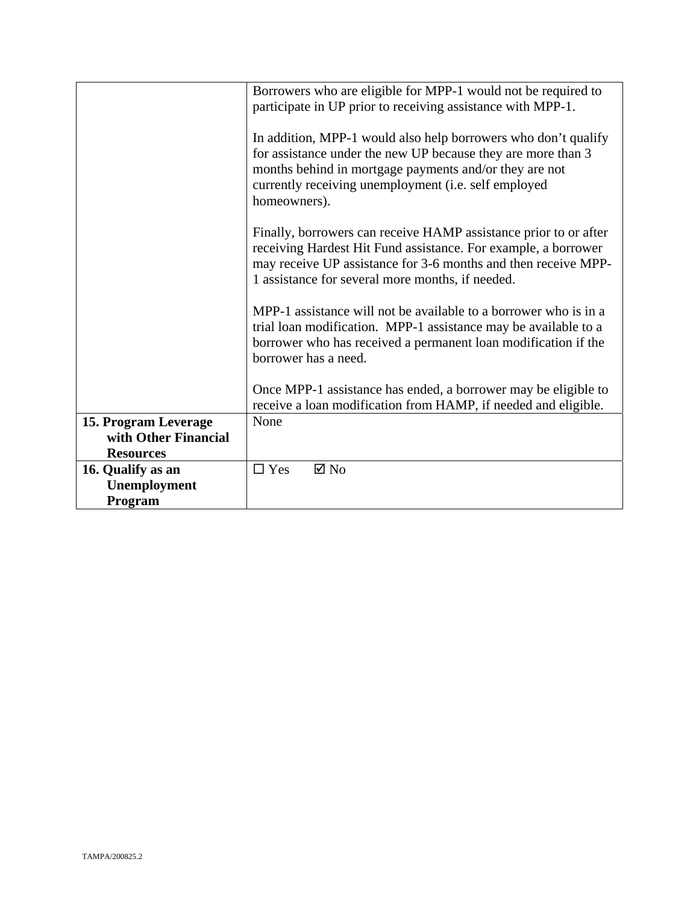|                      | Borrowers who are eligible for MPP-1 would not be required to<br>participate in UP prior to receiving assistance with MPP-1.<br>In addition, MPP-1 would also help borrowers who don't qualify<br>for assistance under the new UP because they are more than 3<br>months behind in mortgage payments and/or they are not<br>currently receiving unemployment (i.e. self employed<br>homeowners). |
|----------------------|--------------------------------------------------------------------------------------------------------------------------------------------------------------------------------------------------------------------------------------------------------------------------------------------------------------------------------------------------------------------------------------------------|
|                      | Finally, borrowers can receive HAMP assistance prior to or after<br>receiving Hardest Hit Fund assistance. For example, a borrower<br>may receive UP assistance for 3-6 months and then receive MPP-<br>1 assistance for several more months, if needed.                                                                                                                                         |
|                      | MPP-1 assistance will not be available to a borrower who is in a<br>trial loan modification. MPP-1 assistance may be available to a<br>borrower who has received a permanent loan modification if the<br>borrower has a need.                                                                                                                                                                    |
|                      | Once MPP-1 assistance has ended, a borrower may be eligible to<br>receive a loan modification from HAMP, if needed and eligible.                                                                                                                                                                                                                                                                 |
| 15. Program Leverage | None                                                                                                                                                                                                                                                                                                                                                                                             |
| with Other Financial |                                                                                                                                                                                                                                                                                                                                                                                                  |
| <b>Resources</b>     |                                                                                                                                                                                                                                                                                                                                                                                                  |
| 16. Qualify as an    | $\boxtimes$ No<br>$\Box$ Yes                                                                                                                                                                                                                                                                                                                                                                     |
| Unemployment         |                                                                                                                                                                                                                                                                                                                                                                                                  |
| Program              |                                                                                                                                                                                                                                                                                                                                                                                                  |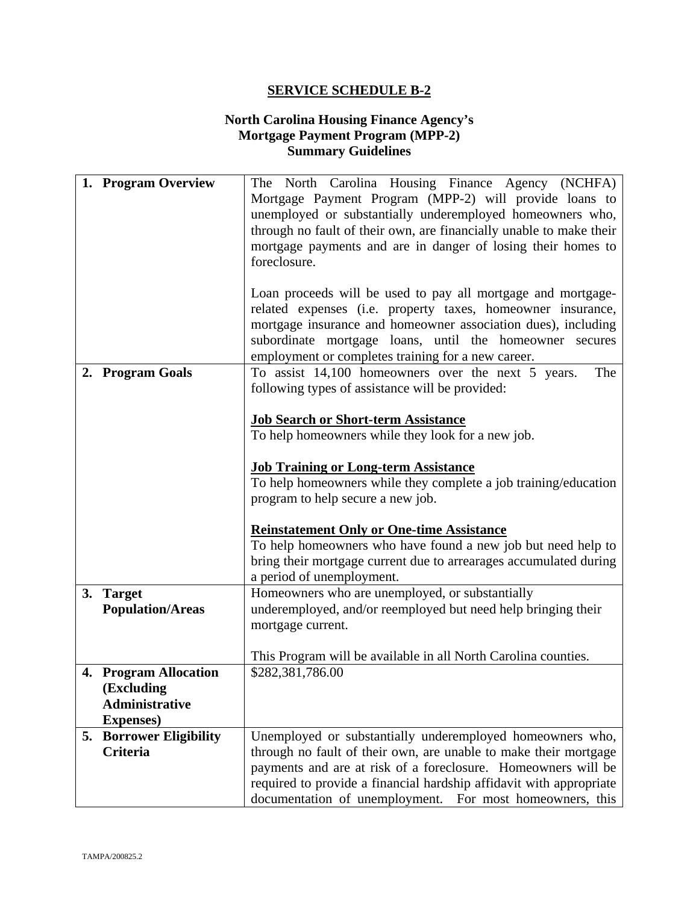## **North Carolina Housing Finance Agency's Mortgage Payment Program (MPP-2) Summary Guidelines**

|    | 1. Program Overview                        | The North Carolina Housing Finance Agency (NCHFA)<br>Mortgage Payment Program (MPP-2) will provide loans to<br>unemployed or substantially underemployed homeowners who,<br>through no fault of their own, are financially unable to make their<br>mortgage payments and are in danger of losing their homes to<br>foreclosure.                                                                                                                                              |
|----|--------------------------------------------|------------------------------------------------------------------------------------------------------------------------------------------------------------------------------------------------------------------------------------------------------------------------------------------------------------------------------------------------------------------------------------------------------------------------------------------------------------------------------|
|    |                                            | Loan proceeds will be used to pay all mortgage and mortgage-<br>related expenses (i.e. property taxes, homeowner insurance,<br>mortgage insurance and homeowner association dues), including<br>subordinate mortgage loans, until the homeowner secures<br>employment or completes training for a new career.                                                                                                                                                                |
|    | 2. Program Goals                           | To assist 14,100 homeowners over the next 5 years.<br>The<br>following types of assistance will be provided:                                                                                                                                                                                                                                                                                                                                                                 |
|    |                                            | <b>Job Search or Short-term Assistance</b><br>To help homeowners while they look for a new job.<br><b>Job Training or Long-term Assistance</b><br>To help homeowners while they complete a job training/education<br>program to help secure a new job.<br><b>Reinstatement Only or One-time Assistance</b><br>To help homeowners who have found a new job but need help to<br>bring their mortgage current due to arrearages accumulated during<br>a period of unemployment. |
|    | 3. Target<br><b>Population/Areas</b>       | Homeowners who are unemployed, or substantially<br>underemployed, and/or reemployed but need help bringing their                                                                                                                                                                                                                                                                                                                                                             |
|    |                                            | mortgage current.                                                                                                                                                                                                                                                                                                                                                                                                                                                            |
|    |                                            | This Program will be available in all North Carolina counties.                                                                                                                                                                                                                                                                                                                                                                                                               |
|    | 4. Program Allocation<br>(Excluding        | \$282,381,786.00                                                                                                                                                                                                                                                                                                                                                                                                                                                             |
|    | <b>Administrative</b><br><b>Expenses</b> ) |                                                                                                                                                                                                                                                                                                                                                                                                                                                                              |
| 5. | <b>Borrower Eligibility</b>                | Unemployed or substantially underemployed homeowners who,                                                                                                                                                                                                                                                                                                                                                                                                                    |
|    | <b>Criteria</b>                            | through no fault of their own, are unable to make their mortgage<br>payments and are at risk of a foreclosure. Homeowners will be                                                                                                                                                                                                                                                                                                                                            |
|    |                                            | required to provide a financial hardship affidavit with appropriate                                                                                                                                                                                                                                                                                                                                                                                                          |
|    |                                            | documentation of unemployment. For most homeowners, this                                                                                                                                                                                                                                                                                                                                                                                                                     |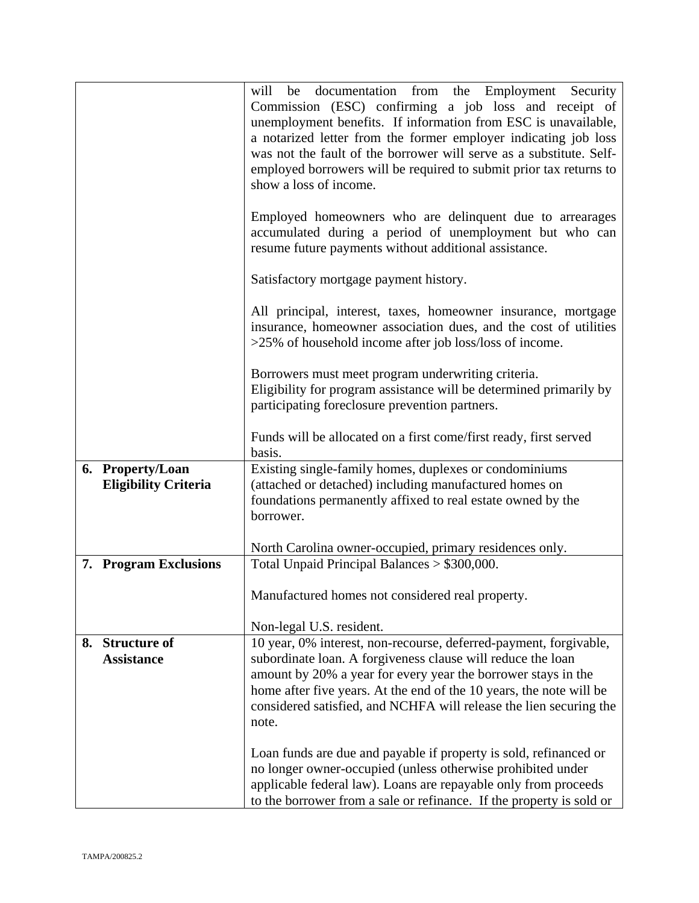|                                                 | be documentation from the Employment Security<br>will<br>Commission (ESC) confirming a job loss and receipt of<br>unemployment benefits. If information from ESC is unavailable,<br>a notarized letter from the former employer indicating job loss<br>was not the fault of the borrower will serve as a substitute. Self-<br>employed borrowers will be required to submit prior tax returns to<br>show a loss of income.<br>Employed homeowners who are delinquent due to arrearages<br>accumulated during a period of unemployment but who can<br>resume future payments without additional assistance. |
|-------------------------------------------------|------------------------------------------------------------------------------------------------------------------------------------------------------------------------------------------------------------------------------------------------------------------------------------------------------------------------------------------------------------------------------------------------------------------------------------------------------------------------------------------------------------------------------------------------------------------------------------------------------------|
|                                                 | Satisfactory mortgage payment history.                                                                                                                                                                                                                                                                                                                                                                                                                                                                                                                                                                     |
|                                                 | All principal, interest, taxes, homeowner insurance, mortgage<br>insurance, homeowner association dues, and the cost of utilities<br>>25% of household income after job loss/loss of income.                                                                                                                                                                                                                                                                                                                                                                                                               |
|                                                 | Borrowers must meet program underwriting criteria.<br>Eligibility for program assistance will be determined primarily by<br>participating foreclosure prevention partners.                                                                                                                                                                                                                                                                                                                                                                                                                                 |
|                                                 | Funds will be allocated on a first come/first ready, first served<br>basis.                                                                                                                                                                                                                                                                                                                                                                                                                                                                                                                                |
| 6. Property/Loan<br><b>Eligibility Criteria</b> | Existing single-family homes, duplexes or condominiums<br>(attached or detached) including manufactured homes on<br>foundations permanently affixed to real estate owned by the<br>borrower.                                                                                                                                                                                                                                                                                                                                                                                                               |
|                                                 | North Carolina owner-occupied, primary residences only.<br>Total Unpaid Principal Balances > \$300,000.                                                                                                                                                                                                                                                                                                                                                                                                                                                                                                    |
| 7. Program Exclusions                           | Manufactured homes not considered real property.                                                                                                                                                                                                                                                                                                                                                                                                                                                                                                                                                           |
| 8. Structure of                                 | Non-legal U.S. resident.<br>10 year, 0% interest, non-recourse, deferred-payment, forgivable,                                                                                                                                                                                                                                                                                                                                                                                                                                                                                                              |
| <b>Assistance</b>                               | subordinate loan. A forgiveness clause will reduce the loan<br>amount by 20% a year for every year the borrower stays in the<br>home after five years. At the end of the 10 years, the note will be<br>considered satisfied, and NCHFA will release the lien securing the<br>note.<br>Loan funds are due and payable if property is sold, refinanced or<br>no longer owner-occupied (unless otherwise prohibited under<br>applicable federal law). Loans are repayable only from proceeds<br>to the borrower from a sale or refinance. If the property is sold or                                          |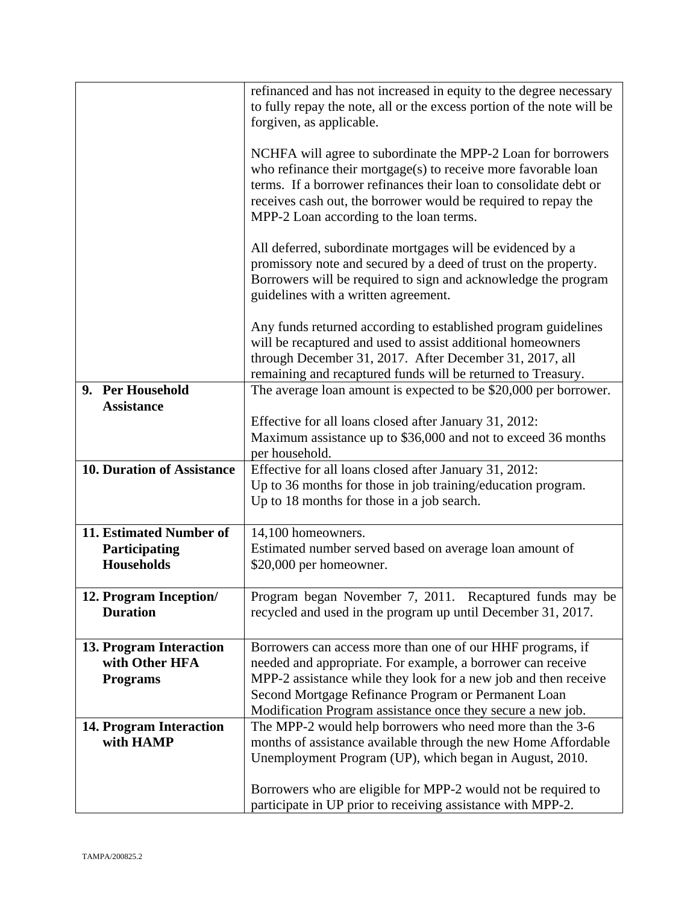| refinanced and has not increased in equity to the degree necessary<br>to fully repay the note, all or the excess portion of the note will be<br>forgiven, as applicable.<br>NCHFA will agree to subordinate the MPP-2 Loan for borrowers |
|------------------------------------------------------------------------------------------------------------------------------------------------------------------------------------------------------------------------------------------|
|                                                                                                                                                                                                                                          |
|                                                                                                                                                                                                                                          |
|                                                                                                                                                                                                                                          |
| who refinance their mortgage(s) to receive more favorable loan                                                                                                                                                                           |
| terms. If a borrower refinances their loan to consolidate debt or                                                                                                                                                                        |
| receives cash out, the borrower would be required to repay the                                                                                                                                                                           |
|                                                                                                                                                                                                                                          |
| MPP-2 Loan according to the loan terms.                                                                                                                                                                                                  |
| All deferred, subordinate mortgages will be evidenced by a                                                                                                                                                                               |
| promissory note and secured by a deed of trust on the property.                                                                                                                                                                          |
| Borrowers will be required to sign and acknowledge the program                                                                                                                                                                           |
| guidelines with a written agreement.                                                                                                                                                                                                     |
|                                                                                                                                                                                                                                          |
| Any funds returned according to established program guidelines                                                                                                                                                                           |
| will be recaptured and used to assist additional homeowners                                                                                                                                                                              |
| through December 31, 2017. After December 31, 2017, all                                                                                                                                                                                  |
| remaining and recaptured funds will be returned to Treasury.                                                                                                                                                                             |
| 9. Per Household<br>The average loan amount is expected to be \$20,000 per borrower.                                                                                                                                                     |
|                                                                                                                                                                                                                                          |
| <b>Assistance</b>                                                                                                                                                                                                                        |
| Effective for all loans closed after January 31, 2012:                                                                                                                                                                                   |
| Maximum assistance up to \$36,000 and not to exceed 36 months                                                                                                                                                                            |
| per household.                                                                                                                                                                                                                           |
| <b>10. Duration of Assistance</b><br>Effective for all loans closed after January 31, 2012:                                                                                                                                              |
| Up to 36 months for those in job training/education program.                                                                                                                                                                             |
| Up to 18 months for those in a job search.                                                                                                                                                                                               |
|                                                                                                                                                                                                                                          |
| 11. Estimated Number of<br>14,100 homeowners.                                                                                                                                                                                            |
| Participating<br>Estimated number served based on average loan amount of                                                                                                                                                                 |
| <b>Households</b><br>\$20,000 per homeowner.                                                                                                                                                                                             |
|                                                                                                                                                                                                                                          |
| 12. Program Inception/<br>Program began November 7, 2011. Recaptured funds may be                                                                                                                                                        |
| <b>Duration</b><br>recycled and used in the program up until December 31, 2017.                                                                                                                                                          |
|                                                                                                                                                                                                                                          |
| Borrowers can access more than one of our HHF programs, if<br>13. Program Interaction                                                                                                                                                    |
| with Other HFA<br>needed and appropriate. For example, a borrower can receive                                                                                                                                                            |
| MPP-2 assistance while they look for a new job and then receive<br><b>Programs</b>                                                                                                                                                       |
|                                                                                                                                                                                                                                          |
| Second Mortgage Refinance Program or Permanent Loan                                                                                                                                                                                      |
| Modification Program assistance once they secure a new job.                                                                                                                                                                              |
| 14. Program Interaction<br>The MPP-2 would help borrowers who need more than the 3-6                                                                                                                                                     |
| months of assistance available through the new Home Affordable<br>with HAMP                                                                                                                                                              |
| Unemployment Program (UP), which began in August, 2010.                                                                                                                                                                                  |
|                                                                                                                                                                                                                                          |
| Borrowers who are eligible for MPP-2 would not be required to                                                                                                                                                                            |
| participate in UP prior to receiving assistance with MPP-2.                                                                                                                                                                              |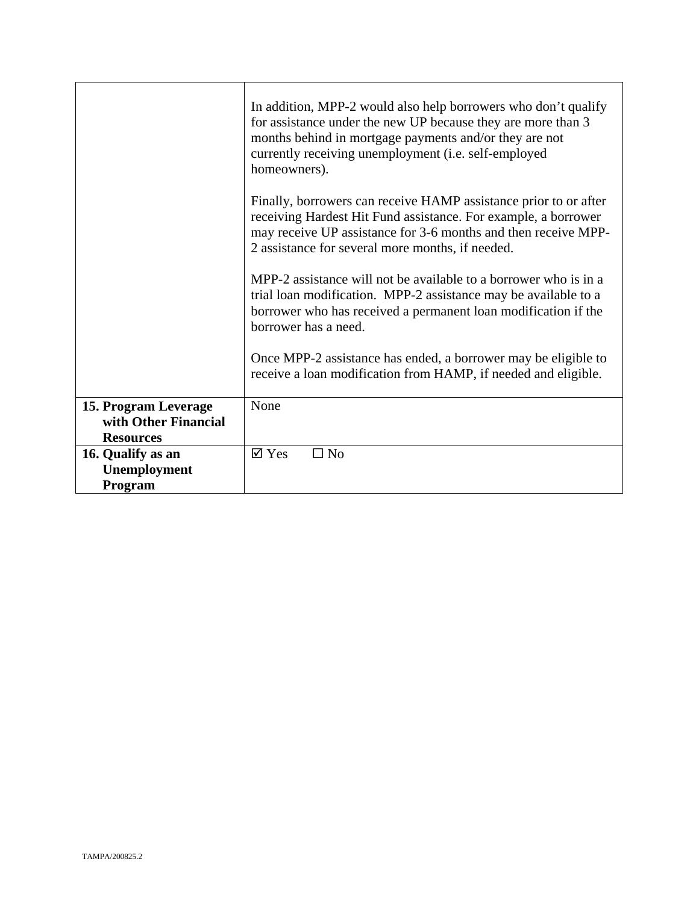|                      | In addition, MPP-2 would also help borrowers who don't qualify<br>for assistance under the new UP because they are more than 3<br>months behind in mortgage payments and/or they are not<br>currently receiving unemployment (i.e. self-employed<br>homeowners). |
|----------------------|------------------------------------------------------------------------------------------------------------------------------------------------------------------------------------------------------------------------------------------------------------------|
|                      | Finally, borrowers can receive HAMP assistance prior to or after<br>receiving Hardest Hit Fund assistance. For example, a borrower<br>may receive UP assistance for 3-6 months and then receive MPP-<br>2 assistance for several more months, if needed.         |
|                      | MPP-2 assistance will not be available to a borrower who is in a<br>trial loan modification. MPP-2 assistance may be available to a<br>borrower who has received a permanent loan modification if the<br>borrower has a need.                                    |
|                      | Once MPP-2 assistance has ended, a borrower may be eligible to<br>receive a loan modification from HAMP, if needed and eligible.                                                                                                                                 |
| 15. Program Leverage | None                                                                                                                                                                                                                                                             |
| with Other Financial |                                                                                                                                                                                                                                                                  |
| <b>Resources</b>     |                                                                                                                                                                                                                                                                  |
| 16. Qualify as an    | $\boxtimes$ Yes<br>$\square$ No                                                                                                                                                                                                                                  |
| Unemployment         |                                                                                                                                                                                                                                                                  |
| Program              |                                                                                                                                                                                                                                                                  |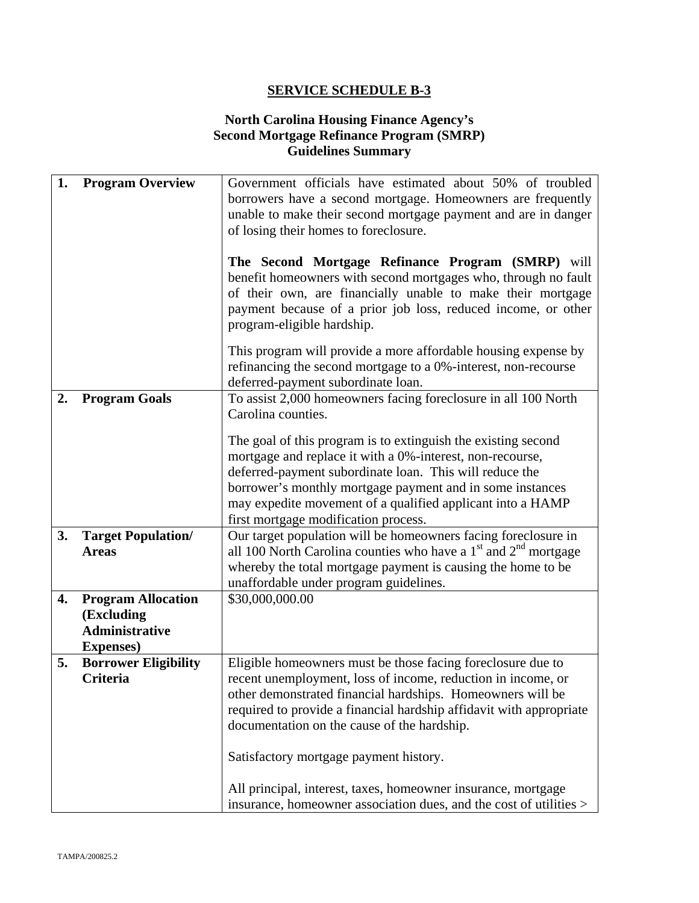# **North Carolina Housing Finance Agency's Second Mortgage Refinance Program (SMRP) Guidelines Summary**

| 1. | <b>Program Overview</b>     | Government officials have estimated about 50% of troubled           |
|----|-----------------------------|---------------------------------------------------------------------|
|    |                             | borrowers have a second mortgage. Homeowners are frequently         |
|    |                             | unable to make their second mortgage payment and are in danger      |
|    |                             | of losing their homes to foreclosure.                               |
|    |                             |                                                                     |
|    |                             |                                                                     |
|    |                             | The Second Mortgage Refinance Program (SMRP) will                   |
|    |                             | benefit homeowners with second mortgages who, through no fault      |
|    |                             | of their own, are financially unable to make their mortgage         |
|    |                             | payment because of a prior job loss, reduced income, or other       |
|    |                             | program-eligible hardship.                                          |
|    |                             | This program will provide a more affordable housing expense by      |
|    |                             | refinancing the second mortgage to a 0%-interest, non-recourse      |
|    |                             | deferred-payment subordinate loan.                                  |
| 2. | <b>Program Goals</b>        | To assist 2,000 homeowners facing foreclosure in all 100 North      |
|    |                             | Carolina counties.                                                  |
|    |                             |                                                                     |
|    |                             | The goal of this program is to extinguish the existing second       |
|    |                             | mortgage and replace it with a 0%-interest, non-recourse,           |
|    |                             | deferred-payment subordinate loan. This will reduce the             |
|    |                             | borrower's monthly mortgage payment and in some instances           |
|    |                             | may expedite movement of a qualified applicant into a HAMP          |
|    |                             | first mortgage modification process.                                |
| 3. | <b>Target Population/</b>   | Our target population will be homeowners facing foreclosure in      |
|    | <b>Areas</b>                | all 100 North Carolina counties who have a $1st$ and $2nd$ mortgage |
|    |                             | whereby the total mortgage payment is causing the home to be        |
|    |                             | unaffordable under program guidelines.                              |
| 4. |                             | \$30,000,000.00                                                     |
|    | <b>Program Allocation</b>   |                                                                     |
|    | (Excluding                  |                                                                     |
|    | <b>Administrative</b>       |                                                                     |
|    | <b>Expenses</b> )           |                                                                     |
| 5. | <b>Borrower Eligibility</b> | Eligible homeowners must be those facing foreclosure due to         |
|    | <b>Criteria</b>             | recent unemployment, loss of income, reduction in income, or        |
|    |                             | other demonstrated financial hardships. Homeowners will be          |
|    |                             | required to provide a financial hardship affidavit with appropriate |
|    |                             | documentation on the cause of the hardship.                         |
|    |                             | Satisfactory mortgage payment history.                              |
|    |                             |                                                                     |
|    |                             | All principal, interest, taxes, homeowner insurance, mortgage       |
|    |                             | insurance, homeowner association dues, and the cost of utilities >  |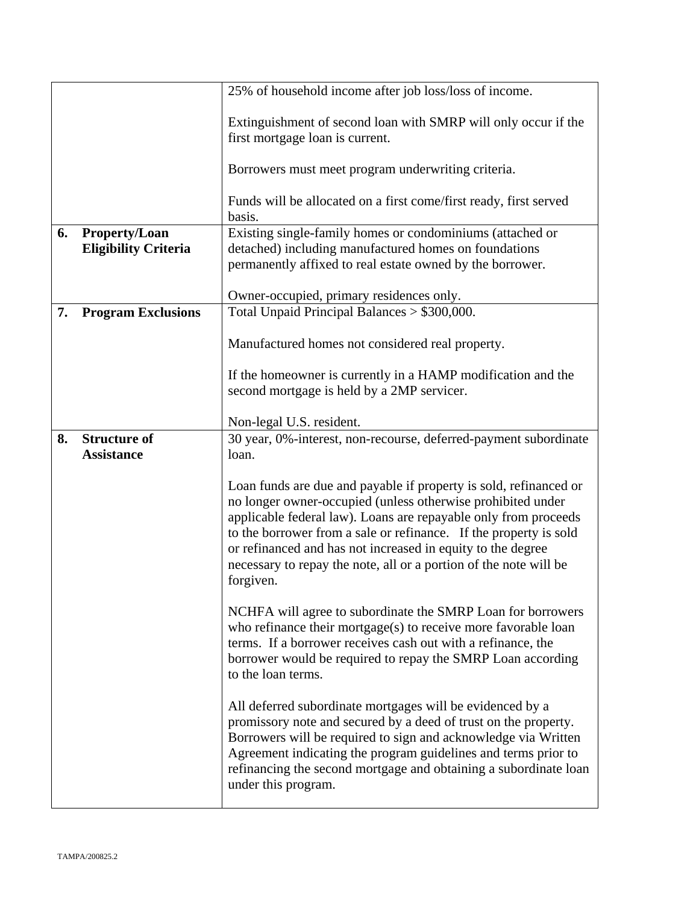|    |                                                     | 25% of household income after job loss/loss of income.                                                                                                                                                                                                                                                                                                                                                                    |
|----|-----------------------------------------------------|---------------------------------------------------------------------------------------------------------------------------------------------------------------------------------------------------------------------------------------------------------------------------------------------------------------------------------------------------------------------------------------------------------------------------|
|    |                                                     | Extinguishment of second loan with SMRP will only occur if the<br>first mortgage loan is current.                                                                                                                                                                                                                                                                                                                         |
|    |                                                     | Borrowers must meet program underwriting criteria.                                                                                                                                                                                                                                                                                                                                                                        |
|    |                                                     | Funds will be allocated on a first come/first ready, first served<br>basis.                                                                                                                                                                                                                                                                                                                                               |
| 6. | <b>Property/Loan</b><br><b>Eligibility Criteria</b> | Existing single-family homes or condominiums (attached or<br>detached) including manufactured homes on foundations<br>permanently affixed to real estate owned by the borrower.                                                                                                                                                                                                                                           |
| 7. | <b>Program Exclusions</b>                           | Owner-occupied, primary residences only.<br>Total Unpaid Principal Balances > \$300,000.                                                                                                                                                                                                                                                                                                                                  |
|    |                                                     | Manufactured homes not considered real property.                                                                                                                                                                                                                                                                                                                                                                          |
|    |                                                     | If the homeowner is currently in a HAMP modification and the<br>second mortgage is held by a 2MP servicer.                                                                                                                                                                                                                                                                                                                |
|    |                                                     | Non-legal U.S. resident.                                                                                                                                                                                                                                                                                                                                                                                                  |
| 8. | <b>Structure of</b><br><b>Assistance</b>            | 30 year, 0%-interest, non-recourse, deferred-payment subordinate<br>loan.                                                                                                                                                                                                                                                                                                                                                 |
|    |                                                     | Loan funds are due and payable if property is sold, refinanced or<br>no longer owner-occupied (unless otherwise prohibited under<br>applicable federal law). Loans are repayable only from proceeds<br>to the borrower from a sale or refinance. If the property is sold<br>or refinanced and has not increased in equity to the degree<br>necessary to repay the note, all or a portion of the note will be<br>forgiven. |
|    |                                                     | NCHFA will agree to subordinate the SMRP Loan for borrowers<br>who refinance their mortgage(s) to receive more favorable loan<br>terms. If a borrower receives cash out with a refinance, the<br>borrower would be required to repay the SMRP Loan according<br>to the loan terms.                                                                                                                                        |
|    |                                                     | All deferred subordinate mortgages will be evidenced by a<br>promissory note and secured by a deed of trust on the property.<br>Borrowers will be required to sign and acknowledge via Written<br>Agreement indicating the program guidelines and terms prior to<br>refinancing the second mortgage and obtaining a subordinate loan<br>under this program.                                                               |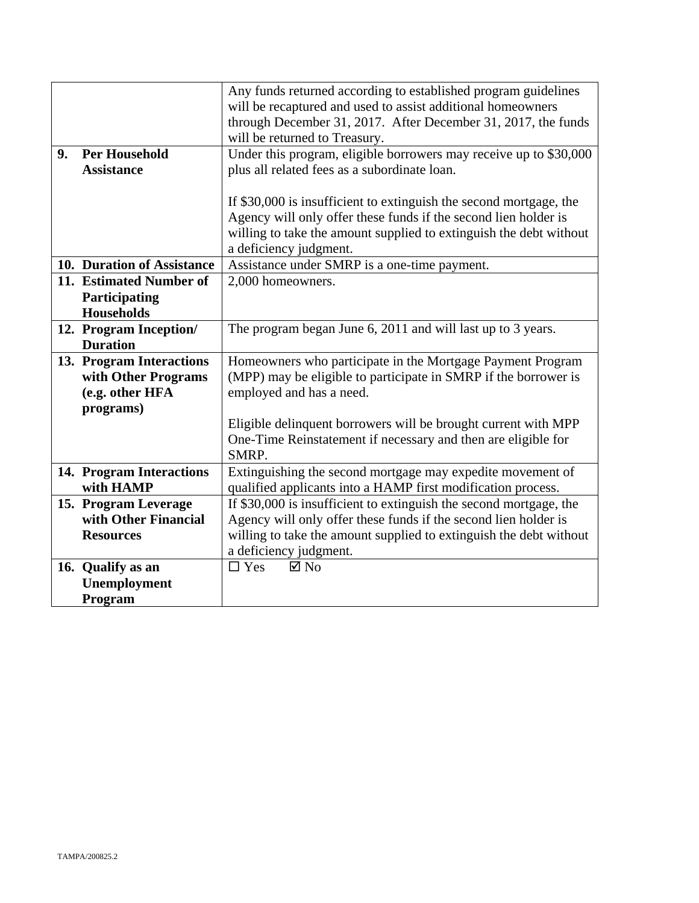|    |                            | Any funds returned according to established program guidelines     |
|----|----------------------------|--------------------------------------------------------------------|
|    |                            | will be recaptured and used to assist additional homeowners        |
|    |                            | through December 31, 2017. After December 31, 2017, the funds      |
|    |                            | will be returned to Treasury.                                      |
| 9. | <b>Per Household</b>       | Under this program, eligible borrowers may receive up to \$30,000  |
|    | <b>Assistance</b>          | plus all related fees as a subordinate loan.                       |
|    |                            |                                                                    |
|    |                            | If \$30,000 is insufficient to extinguish the second mortgage, the |
|    |                            | Agency will only offer these funds if the second lien holder is    |
|    |                            | willing to take the amount supplied to extinguish the debt without |
|    |                            | a deficiency judgment.                                             |
|    | 10. Duration of Assistance | Assistance under SMRP is a one-time payment.                       |
|    | 11. Estimated Number of    | 2,000 homeowners.                                                  |
|    | Participating              |                                                                    |
|    | <b>Households</b>          |                                                                    |
|    | 12. Program Inception/     | The program began June 6, 2011 and will last up to 3 years.        |
|    | <b>Duration</b>            |                                                                    |
|    | 13. Program Interactions   | Homeowners who participate in the Mortgage Payment Program         |
|    | with Other Programs        | (MPP) may be eligible to participate in SMRP if the borrower is    |
|    | (e.g. other HFA            | employed and has a need.                                           |
|    | programs)                  |                                                                    |
|    |                            | Eligible delinquent borrowers will be brought current with MPP     |
|    |                            | One-Time Reinstatement if necessary and then are eligible for      |
|    |                            | SMRP.                                                              |
|    | 14. Program Interactions   | Extinguishing the second mortgage may expedite movement of         |
|    | with HAMP                  | qualified applicants into a HAMP first modification process.       |
|    | 15. Program Leverage       | If \$30,000 is insufficient to extinguish the second mortgage, the |
|    | with Other Financial       | Agency will only offer these funds if the second lien holder is    |
|    | <b>Resources</b>           | willing to take the amount supplied to extinguish the debt without |
|    |                            | a deficiency judgment.                                             |
|    | 16. Qualify as an          | $\Box$ Yes<br>$\boxtimes$ No                                       |
|    | Unemployment               |                                                                    |
|    | Program                    |                                                                    |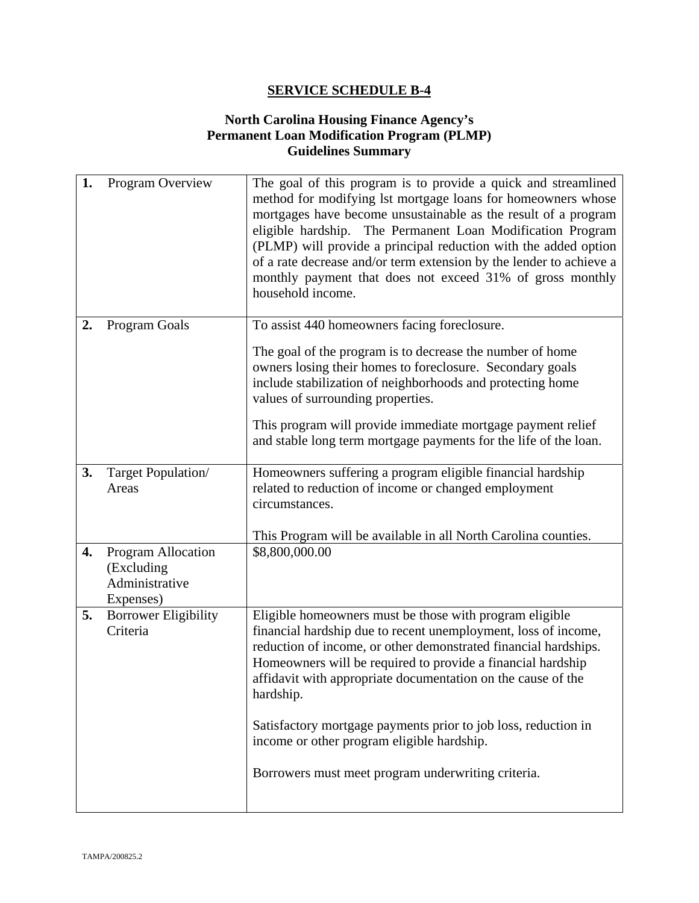# **North Carolina Housing Finance Agency's Permanent Loan Modification Program (PLMP) Guidelines Summary**

| 1. | Program Overview                                                | The goal of this program is to provide a quick and streamlined<br>method for modifying 1st mortgage loans for homeowners whose<br>mortgages have become unsustainable as the result of a program<br>eligible hardship. The Permanent Loan Modification Program<br>(PLMP) will provide a principal reduction with the added option<br>of a rate decrease and/or term extension by the lender to achieve a<br>monthly payment that does not exceed 31% of gross monthly<br>household income.                     |
|----|-----------------------------------------------------------------|----------------------------------------------------------------------------------------------------------------------------------------------------------------------------------------------------------------------------------------------------------------------------------------------------------------------------------------------------------------------------------------------------------------------------------------------------------------------------------------------------------------|
| 2. | Program Goals                                                   | To assist 440 homeowners facing foreclosure.<br>The goal of the program is to decrease the number of home<br>owners losing their homes to foreclosure. Secondary goals<br>include stabilization of neighborhoods and protecting home<br>values of surrounding properties.<br>This program will provide immediate mortgage payment relief<br>and stable long term mortgage payments for the life of the loan.                                                                                                   |
| 3. | Target Population/<br>Areas                                     | Homeowners suffering a program eligible financial hardship<br>related to reduction of income or changed employment<br>circumstances.<br>This Program will be available in all North Carolina counties.                                                                                                                                                                                                                                                                                                         |
| 4. | Program Allocation<br>(Excluding<br>Administrative<br>Expenses) | \$8,800,000.00                                                                                                                                                                                                                                                                                                                                                                                                                                                                                                 |
| 5. | <b>Borrower Eligibility</b><br>Criteria                         | Eligible homeowners must be those with program eligible<br>financial hardship due to recent unemployment, loss of income,<br>reduction of income, or other demonstrated financial hardships.<br>Homeowners will be required to provide a financial hardship<br>affidavit with appropriate documentation on the cause of the<br>hardship.<br>Satisfactory mortgage payments prior to job loss, reduction in<br>income or other program eligible hardship.<br>Borrowers must meet program underwriting criteria. |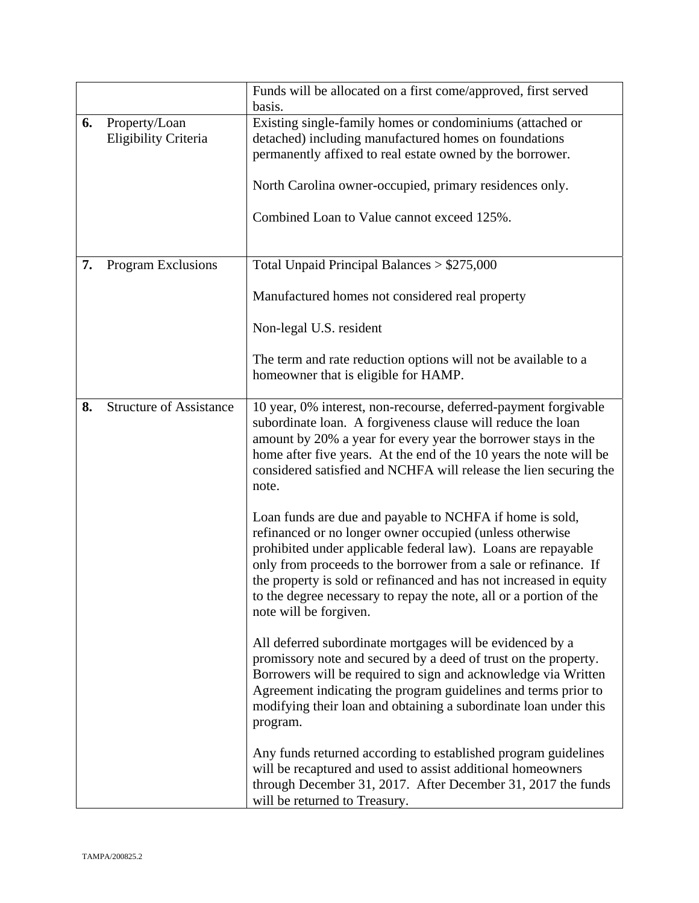|    |                                       | Funds will be allocated on a first come/approved, first served<br>basis.                                                                                                                                                                                                                                                                                                                                                       |
|----|---------------------------------------|--------------------------------------------------------------------------------------------------------------------------------------------------------------------------------------------------------------------------------------------------------------------------------------------------------------------------------------------------------------------------------------------------------------------------------|
| 6. | Property/Loan<br>Eligibility Criteria | Existing single-family homes or condominiums (attached or<br>detached) including manufactured homes on foundations<br>permanently affixed to real estate owned by the borrower.<br>North Carolina owner-occupied, primary residences only.<br>Combined Loan to Value cannot exceed 125%.                                                                                                                                       |
| 7. | <b>Program Exclusions</b>             | Total Unpaid Principal Balances $> $275,000$                                                                                                                                                                                                                                                                                                                                                                                   |
|    |                                       | Manufactured homes not considered real property                                                                                                                                                                                                                                                                                                                                                                                |
|    |                                       | Non-legal U.S. resident                                                                                                                                                                                                                                                                                                                                                                                                        |
|    |                                       | The term and rate reduction options will not be available to a<br>homeowner that is eligible for HAMP.                                                                                                                                                                                                                                                                                                                         |
| 8. | <b>Structure of Assistance</b>        | 10 year, 0% interest, non-recourse, deferred-payment forgivable<br>subordinate loan. A forgiveness clause will reduce the loan<br>amount by 20% a year for every year the borrower stays in the<br>home after five years. At the end of the 10 years the note will be<br>considered satisfied and NCHFA will release the lien securing the<br>note.                                                                            |
|    |                                       | Loan funds are due and payable to NCHFA if home is sold,<br>refinanced or no longer owner occupied (unless otherwise<br>prohibited under applicable federal law). Loans are repayable<br>only from proceeds to the borrower from a sale or refinance. If<br>the property is sold or refinanced and has not increased in equity<br>to the degree necessary to repay the note, all or a portion of the<br>note will be forgiven. |
|    |                                       | All deferred subordinate mortgages will be evidenced by a<br>promissory note and secured by a deed of trust on the property.<br>Borrowers will be required to sign and acknowledge via Written<br>Agreement indicating the program guidelines and terms prior to<br>modifying their loan and obtaining a subordinate loan under this<br>program.                                                                               |
|    |                                       | Any funds returned according to established program guidelines<br>will be recaptured and used to assist additional homeowners<br>through December 31, 2017. After December 31, 2017 the funds<br>will be returned to Treasury.                                                                                                                                                                                                 |